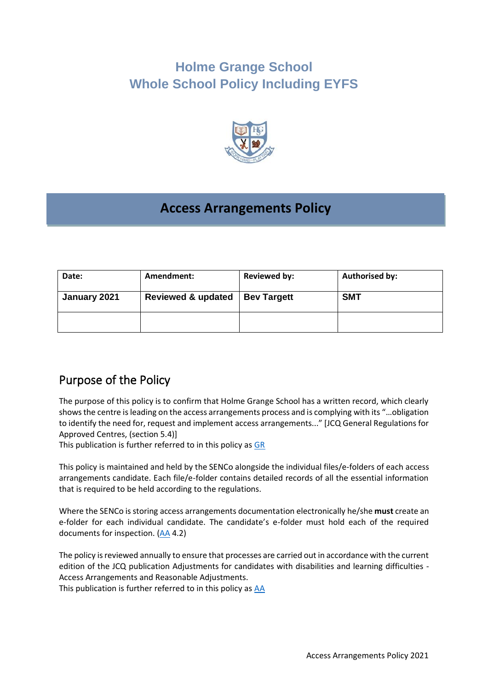# **Holme Grange School Whole School Policy Including EYFS**



# **Access Arrangements Policy**

| Date:        | Amendment:         | <b>Reviewed by:</b> | <b>Authorised by:</b> |
|--------------|--------------------|---------------------|-----------------------|
| January 2021 | Reviewed & updated | <b>Bev Targett</b>  | <b>SMT</b>            |
|              |                    |                     |                       |

### Purpose of the Policy

The purpose of this policy is to confirm that Holme Grange School has a written record, which clearly shows the centre is leading on the access arrangements process and is complying with its "…obligation to identify the need for, request and implement access arrangements..." [JCQ General Regulations for Approved Centres, (section 5.4)]

This publication is further referred to in this policy as [GR](http://www.jcq.org.uk/exams-office/general-regulations)

This policy is maintained and held by the SENCo alongside the individual files/e-folders of each access arrangements candidate. Each file/e-folder contains detailed records of all the essential information that is required to be held according to the regulations.

Where the SENCo is storing access arrangements documentation electronically he/she **must** create an e-folder for each individual candidate. The candidate's e-folder must hold each of the required documents for inspection. [\(AA](http://www.jcq.org.uk/exams-office/access-arrangements-and-special-consideration/regulations-and-guidance) 4.2)

The policy is reviewed annually to ensure that processes are carried out in accordance with the current edition of the JCQ publication Adjustments for candidates with disabilities and learning difficulties - Access Arrangements and Reasonable Adjustments.

This publication is further referred to in this policy as [AA](http://www.jcq.org.uk/exams-office/access-arrangements-and-special-consideration/regulations-and-guidance)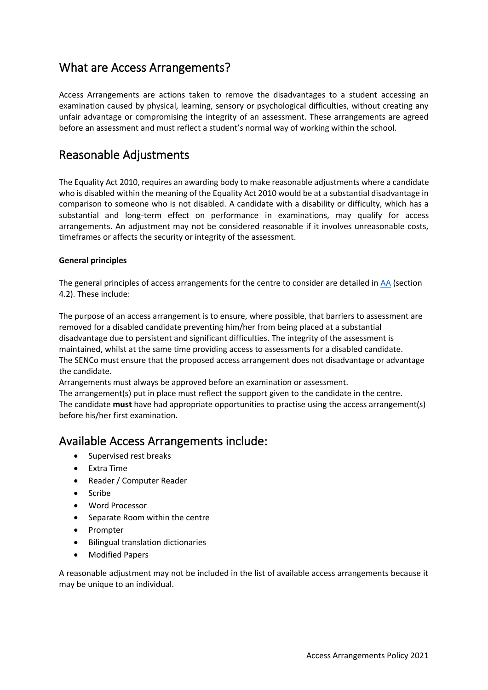### What are Access Arrangements?

Access Arrangements are actions taken to remove the disadvantages to a student accessing an examination caused by physical, learning, sensory or psychological difficulties, without creating any unfair advantage or compromising the integrity of an assessment. These arrangements are agreed before an assessment and must reflect a student's normal way of working within the school.

### Reasonable Adjustments

The Equality Act 2010, requires an awarding body to make reasonable adjustments where a candidate who is disabled within the meaning of the Equality Act 2010 would be at a substantial disadvantage in comparison to someone who is not disabled. A candidate with a disability or difficulty, which has a substantial and long-term effect on performance in examinations, may qualify for access arrangements. An adjustment may not be considered reasonable if it involves unreasonable costs, timeframes or affects the security or integrity of the assessment.

#### **General principles**

The general principles of access arrangements for the centre to consider are detailed in [AA](http://www.jcq.org.uk/exams-office/access-arrangements-and-special-consideration/regulations-and-guidance) (section 4.2). These include:

The purpose of an access arrangement is to ensure, where possible, that barriers to assessment are removed for a disabled candidate preventing him/her from being placed at a substantial disadvantage due to persistent and significant difficulties. The integrity of the assessment is maintained, whilst at the same time providing access to assessments for a disabled candidate. The SENCo must ensure that the proposed access arrangement does not disadvantage or advantage the candidate.

Arrangements must always be approved before an examination or assessment.

The arrangement(s) put in place must reflect the support given to the candidate in the centre. The candidate **must** have had appropriate opportunities to practise using the access arrangement(s) before his/her first examination.

### Available Access Arrangements include:

- Supervised rest breaks
- Extra Time
- Reader / Computer Reader
- Scribe
- Word Processor
- Separate Room within the centre
- Prompter
- Bilingual translation dictionaries
- Modified Papers

A reasonable adjustment may not be included in the list of available access arrangements because it may be unique to an individual.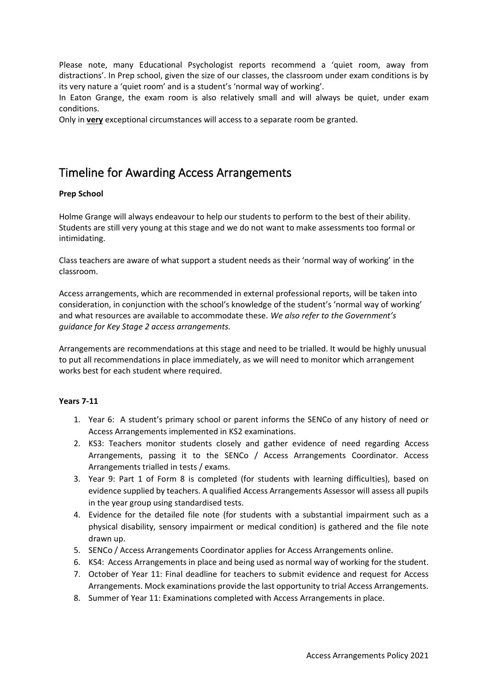Please note, many Educational Psychologist reports recommend a 'quiet room, away from distractions'. In Prep school, given the size of our classes, the classroom under exam conditions is by its very nature a 'quiet room' and is a student's 'normal way of working'.

In Eaton Grange, the exam room is also relatively small and will always be quiet, under exam conditions.

Only in **very** exceptional circumstances will access to a separate room be granted.

### Timeline for Awarding Access Arrangements

#### **Prep School**

Holme Grange will always endeavour to help our students to perform to the best of their ability. Students are still very young at this stage and we do not want to make assessments too formal or intimidating.

Class teachers are aware of what support a student needs as their 'normal way of working' in the classroom.

Access arrangements, which are recommended in external professional reports, will be taken into consideration, in conjunction with the school's knowledge of the student's 'normal way of working' and what resources are available to accommodate these. *We also refer to the Government's guidance for Key Stage 2 access arrangements.* 

Arrangements are recommendations at this stage and need to be trialled. It would be highly unusual to put all recommendations in place immediately, as we will need to monitor which arrangement works best for each student where required.

#### **Years 7-11**

- 1. Year 6: A student's primary school or parent informs the SENCo of any history of need or Access Arrangements implemented in KS2 examinations.
- 2. KS3: Teachers monitor students closely and gather evidence of need regarding Access Arrangements, passing it to the SENCo / Access Arrangements Coordinator. Access Arrangements trialled in tests / exams.
- 3. Year 9: Part 1 of Form 8 is completed (for students with learning difficulties), based on evidence supplied by teachers. A qualified Access Arrangements Assessor will assess all pupils in the year group using standardised tests.
- 4. Evidence for the detailed file note (for students with a substantial impairment such as a physical disability, sensory impairment or medical condition) is gathered and the file note drawn up.
- 5. SENCo / Access Arrangements Coordinator applies for Access Arrangements online.
- 6. KS4: Access Arrangements in place and being used as normal way of working for the student.
- 7. October of Year 11: Final deadline for teachers to submit evidence and request for Access Arrangements. Mock examinations provide the last opportunity to trial Access Arrangements.
- 8. Summer of Year 11: Examinations completed with Access Arrangements in place.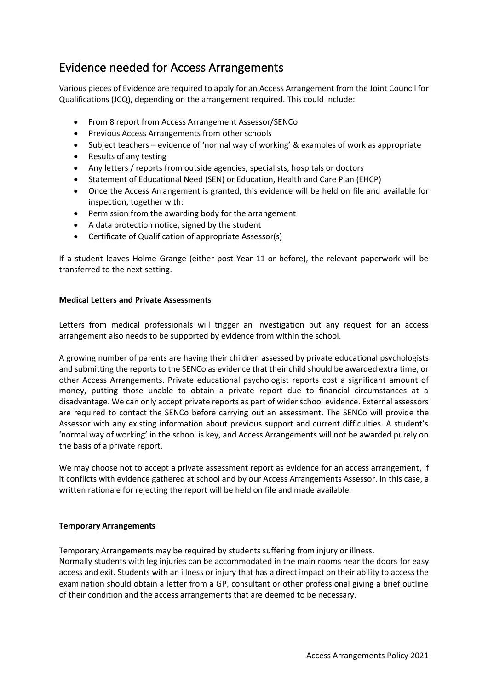## Evidence needed for Access Arrangements

Various pieces of Evidence are required to apply for an Access Arrangement from the Joint Council for Qualifications (JCQ), depending on the arrangement required. This could include:

- From 8 report from Access Arrangement Assessor/SENCo
- Previous Access Arrangements from other schools
- Subject teachers evidence of 'normal way of working' & examples of work as appropriate
- Results of any testing
- Any letters / reports from outside agencies, specialists, hospitals or doctors
- Statement of Educational Need (SEN) or Education, Health and Care Plan (EHCP)
- Once the Access Arrangement is granted, this evidence will be held on file and available for inspection, together with:
- Permission from the awarding body for the arrangement
- A data protection notice, signed by the student
- Certificate of Qualification of appropriate Assessor(s)

If a student leaves Holme Grange (either post Year 11 or before), the relevant paperwork will be transferred to the next setting.

#### **Medical Letters and Private Assessments**

Letters from medical professionals will trigger an investigation but any request for an access arrangement also needs to be supported by evidence from within the school.

A growing number of parents are having their children assessed by private educational psychologists and submitting the reports to the SENCo as evidence that their child should be awarded extra time, or other Access Arrangements. Private educational psychologist reports cost a significant amount of money, putting those unable to obtain a private report due to financial circumstances at a disadvantage. We can only accept private reports as part of wider school evidence. External assessors are required to contact the SENCo before carrying out an assessment. The SENCo will provide the Assessor with any existing information about previous support and current difficulties. A student's 'normal way of working' in the school is key, and Access Arrangements will not be awarded purely on the basis of a private report.

We may choose not to accept a private assessment report as evidence for an access arrangement, if it conflicts with evidence gathered at school and by our Access Arrangements Assessor. In this case, a written rationale for rejecting the report will be held on file and made available.

#### **Temporary Arrangements**

Temporary Arrangements may be required by students suffering from injury or illness. Normally students with leg injuries can be accommodated in the main rooms near the doors for easy access and exit. Students with an illness or injury that has a direct impact on their ability to access the examination should obtain a letter from a GP, consultant or other professional giving a brief outline

of their condition and the access arrangements that are deemed to be necessary.